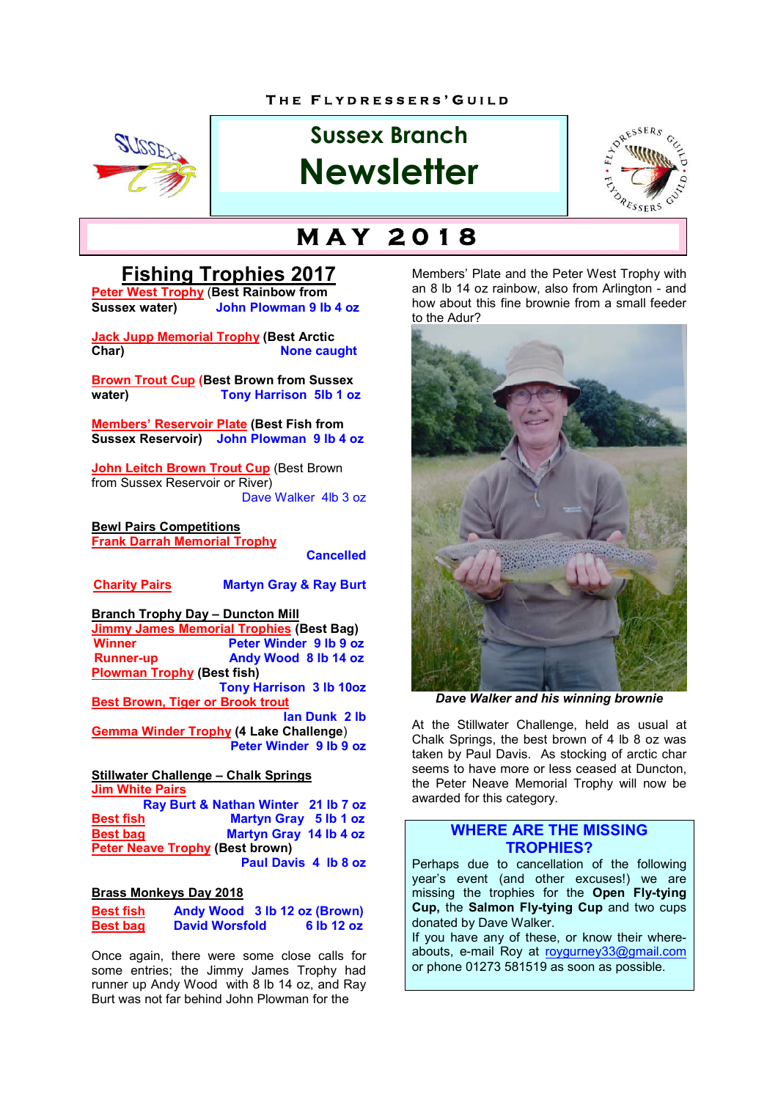#### **T H E F L Y D R E S S E R S ' G U I L D**



# **Sussex Branch Newsletter**



# **M A Y 2 0 1 8**

## **Fishing Trophies 2017**

**Peter West Trophy** (**Best Rainbow from Sussex water) John Plowman 9 lb 4 oz**

**Jack Jupp Memorial Trophy (Best Arctic None caught** 

**Brown Trout Cup (Best Brown from Sussex water) Tony Harrison 5lb 1 oz**

**Members' Reservoir Plate (Best Fish from Sussex Reservoir) John Plowman 9 lb 4 oz**

**John Leitch Brown Trout Cup (Best Brown)** from Sussex Reservoir or River) Dave Walker 4lb 3 oz

**Bewl Pairs Competitions Frank Darrah Memorial Trophy**

**Cancelled**

#### **Charity Pairs Martyn Gray & Ray Burt**

**Branch Trophy Day – Duncton Mill Jimmy James Memorial Trophies (Best Bag) Winner Peter Winder 9 lb 9 oz Runner-up Andy Wood 8 lb 14 oz Plowman Trophy (Best fish) Tony Harrison 3 lb 10oz Best Brown, Tiger or Brook trout Ian Dunk 2 lb Gemma Winder Trophy (4 Lake Challenge**) **Peter Winder 9 lb 9 oz**

**Stillwater Challenge – Chalk Springs Jim White Pairs**

**Ray Burt & Nathan Winter 21 lb 7 oz Best fish Martyn Gray 5 lb 1 oz Best bag Martyn Gray 14 lb 4 oz Peter Neave Trophy (Best brown) Paul Davis 4 lb 8 oz**

#### **Brass Monkeys Day 2018**

| <b>Best fish</b> | Andy Wood 3 lb 12 oz (Brown) |  |            |
|------------------|------------------------------|--|------------|
| <b>Best bag</b>  | <b>David Worsfold</b>        |  | 6 lb 12 oz |

Once again, there were some close calls for some entries; the Jimmy James Trophy had runner up Andy Wood with 8 lb 14 oz, and Ray Burt was not far behind John Plowman for the

Members' Plate and the Peter West Trophy with an 8 lb 14 oz rainbow, also from Arlington - and how about this fine brownie from a small feeder to the Adur?



*Dave Walker and his winning brownie*

At the Stillwater Challenge, held as usual at Chalk Springs, the best brown of 4 lb 8 oz was taken by Paul Davis. As stocking of arctic char seems to have more or less ceased at Duncton. the Peter Neave Memorial Trophy will now be awarded for this category.

#### **WHERE ARE THE MISSING TROPHIES?**

Perhaps due to cancellation of the following year's event (and other excuses!) we are missing the trophies for the **Open Fly-tying Cup,** the **Salmon Fly-tying Cup** and two cups donated by Dave Walker.

If you have any of these, or know their whereabouts, e-mail Roy at roygurney33@gmail.com or phone 01273 581519 as soon as possible.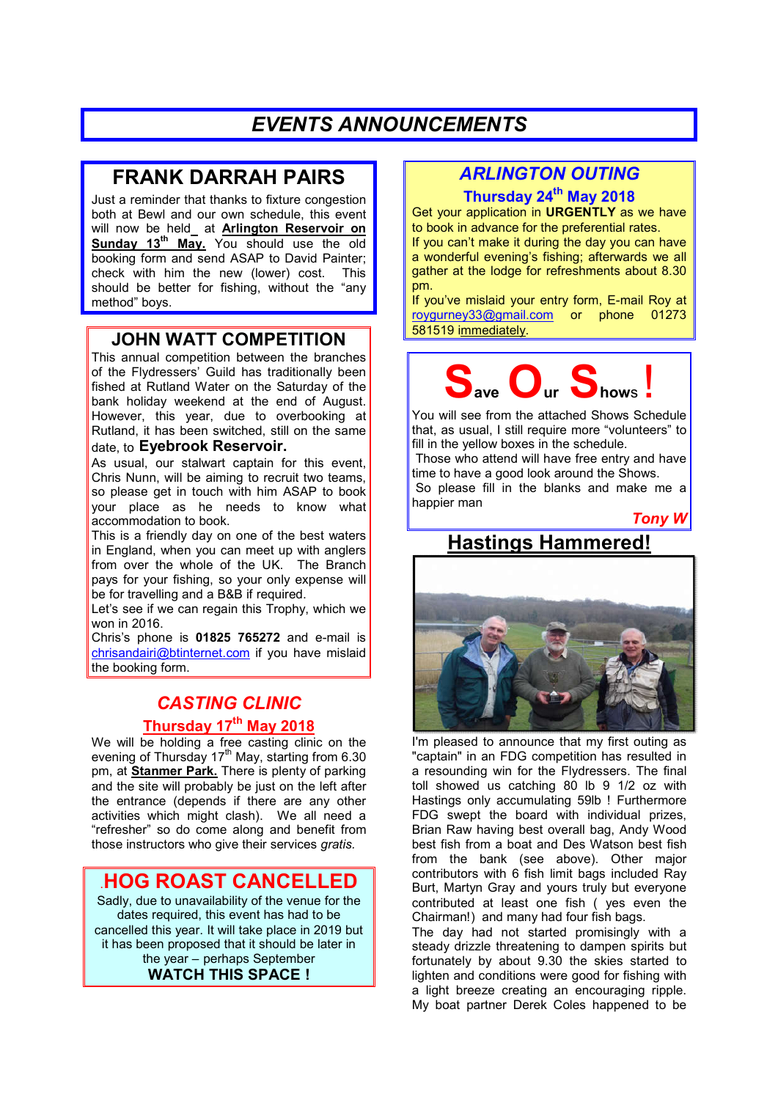## *EVENTS ANNOUNCEMENTS*

## **FRANK DARRAH PAIRS**

Just a reminder that thanks to fixture congestion both at Bewl and our own schedule, this event will now be held at **Arlington Reservoir on Sunday 13th May.** You should use the old booking form and send ASAP to David Painter; check with him the new (lower) cost. This should be better for fishing, without the "any method" boys.

### **JOHN WATT COMPETITION**

This annual competition between the branches of the Flydressers' Guild has traditionally been fished at Rutland Water on the Saturday of the bank holiday weekend at the end of August. However, this year, due to overbooking at Rutland, it has been switched, still on the same date, to **Eyebrook Reservoir.**

As usual, our stalwart captain for this event, Chris Nunn, will be aiming to recruit two teams, so please get in touch with him ASAP to book your place as he needs to know what accommodation to book.

This is a friendly day on one of the best waters in England, when you can meet up with anglers from over the whole of the UK. The Branch pays for your fishing, so your only expense will be for travelling and a B&B if required.

Let's see if we can regain this Trophy, which we won in 2016.

Chris's phone is **01825 765272** and e-mail is chrisandairi@btinternet.com if you have mislaid the booking form.

## *CASTING CLINIC* **Thursday 17th May 2018**

We will be holding a free casting clinic on the evening of Thursday  $17<sup>th</sup>$  May, starting from 6.30 pm, at **Stanmer Park.** There is plenty of parking and the site will probably be just on the left after the entrance (depends if there are any other activities which might clash). We all need a "refresher" so do come along and benefit from those instructors who give their services *gratis.*

### .**HOG ROAST CANCELLED**

Sadly, due to unavailability of the venue for the dates required, this event has had to be cancelled this year. It will take place in 2019 but it has been proposed that it should be later in the year – perhaps September **WATCH THIS SPACE !**

## *ARLINGTON OUTING*

**Thursday 24th May 2018** Get your application in **URGENTLY** as we have

to book in advance for the preferential rates. If you can't make it during the day you can have

a wonderful evening's fishing; afterwards we all gather at the lodge for refreshments about 8.30 pm.

If you've mislaid your entry form, E-mail Roy at roygurney33@gmail.com or phone 01273 581519 immediately.



You will see from the attached Shows Schedule that, as usual, I still require more "volunteers" to fill in the yellow boxes in the schedule.

Those who attend will have free entry and have time to have a good look around the Shows.

So please fill in the blanks and make me a happier man

*Tony W*

# **Hastings Hammered!**



I'm pleased to announce that my first outing as "captain" in an FDG competition has resulted in a resounding win for the Flydressers. The final toll showed us catching 80 lb 9 1/2 oz with Hastings only accumulating 59lb ! Furthermore FDG swept the board with individual prizes, Brian Raw having best overall bag, Andy Wood best fish from a boat and Des Watson best fish from the bank (see above). Other major contributors with 6 fish limit bags included Ray Burt, Martyn Gray and yours truly but everyone contributed at least one fish ( yes even the Chairman!) and many had four fish bags.

The day had not started promisingly with a steady drizzle threatening to dampen spirits but fortunately by about 9.30 the skies started to lighten and conditions were good for fishing with a light breeze creating an encouraging ripple. My boat partner Derek Coles happened to be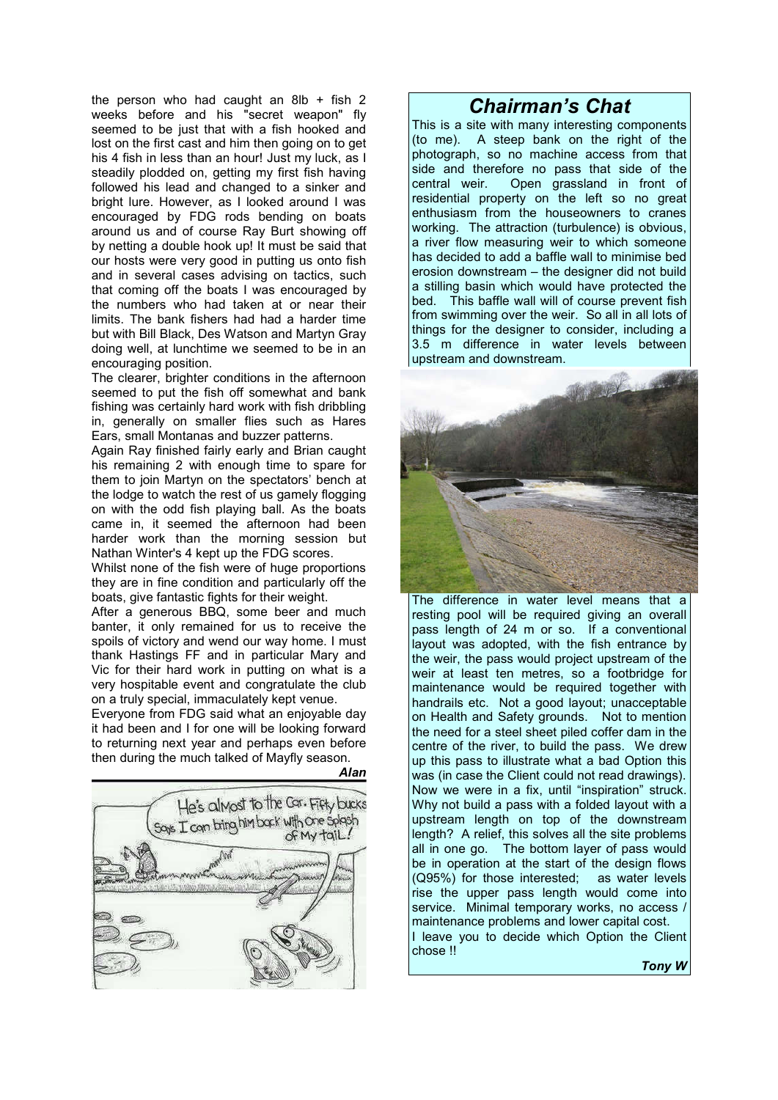the person who had caught an 8lb  $+$  fish 2 weeks before and his "secret weapon" fly seemed to be just that with a fish hooked and lost on the first cast and him then going on to get his 4 fish in less than an hour! Just my luck, as I steadily plodded on, getting my first fish having followed his lead and changed to a sinker and bright lure. However, as I looked around I was encouraged by FDG rods bending on boats around us and of course Ray Burt showing off by netting a double hook up! It must be said that our hosts were very good in putting us onto fish and in several cases advising on tactics, such that coming off the boats I was encouraged by the numbers who had taken at or near their limits. The bank fishers had had a harder time but with Bill Black, Des Watson and Martyn Gray doing well, at lunchtime we seemed to be in an encouraging position.

The clearer, brighter conditions in the afternoon seemed to put the fish off somewhat and bank fishing was certainly hard work with fish dribbling in, generally on smaller flies such as Hares Ears, small Montanas and buzzer patterns.

Again Ray finished fairly early and Brian caught his remaining 2 with enough time to spare for them to join Martyn on the spectators' bench at the lodge to watch the rest of us gamely flogging on with the odd fish playing ball. As the boats came in, it seemed the afternoon had been harder work than the morning session but Nathan Winter's 4 kept up the FDG scores.

Whilst none of the fish were of huge proportions they are in fine condition and particularly off the boats, give fantastic fights for their weight.

After a generous BBQ, some beer and much banter, it only remained for us to receive the spoils of victory and wend our way home. I must thank Hastings FF and in particular Mary and Vic for their hard work in putting on what is a very hospitable event and congratulate the club on a truly special, immaculately kept venue.

Everyone from FDG said what an enjoyable day it had been and I for one will be looking forward to returning next year and perhaps even before then during the much talked of Mayfly season.

*Alan*



### *Chairman's Chat*

This is a site with many interesting components (to me). A steep bank on the right of the photograph, so no machine access from that side and therefore no pass that side of the central weir. Open grassland in front of Open grassland in front of residential property on the left so no great enthusiasm from the houseowners to cranes working. The attraction (turbulence) is obvious, a river flow measuring weir to which someone has decided to add a baffle wall to minimise bed erosion downstream – the designer did not build a stilling basin which would have protected the bed. This baffle wall will of course prevent fish from swimming over the weir. So all in all lots of things for the designer to consider, including a 3.5 m difference in water levels between upstream and downstream.



The difference in water level means that a resting pool will be required giving an overall pass length of 24 m or so. If a conventional layout was adopted, with the fish entrance by the weir, the pass would project upstream of the weir at least ten metres, so a footbridge for maintenance would be required together with handrails etc. Not a good layout; unacceptable on Health and Safety grounds. Not to mention the need for a steel sheet piled coffer dam in the centre of the river, to build the pass. We drew up this pass to illustrate what a bad Option this was (in case the Client could not read drawings). Now we were in a fix, until "inspiration" struck. Why not build a pass with a folded layout with a upstream length on top of the downstream length? A relief, this solves all the site problems all in one go. The bottom layer of pass would be in operation at the start of the design flows (Q95%) for those interested; as water levels rise the upper pass length would come into service. Minimal temporary works, no access maintenance problems and lower capital cost. I leave you to decide which Option the Client chose !!

*Tony W*